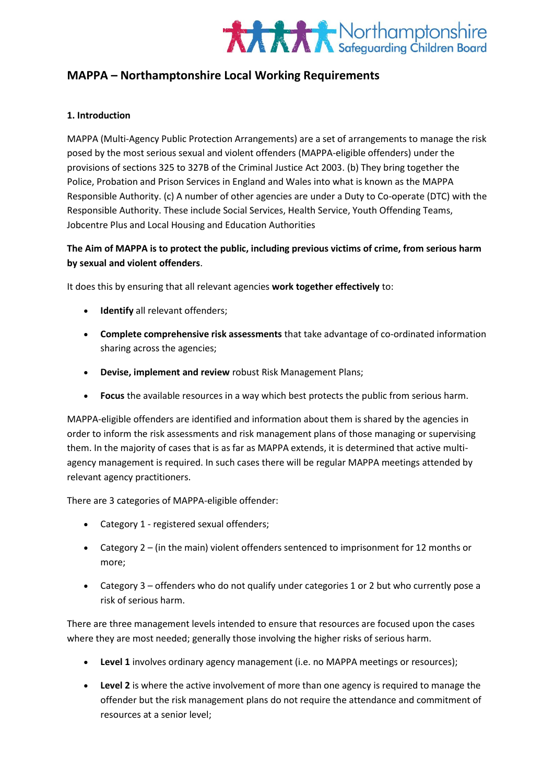

# **MAPPA – Northamptonshire Local Working Requirements**

## **1. Introduction**

MAPPA (Multi-Agency Public Protection Arrangements) are a set of arrangements to manage the risk posed by the most serious sexual and violent offenders (MAPPA-eligible offenders) under the provisions of sections 325 to 327B of the Criminal Justice Act 2003. (b) They bring together the Police, Probation and Prison Services in England and Wales into what is known as the MAPPA Responsible Authority. (c) A number of other agencies are under a Duty to Co-operate (DTC) with the Responsible Authority. These include Social Services, Health Service, Youth Offending Teams, Jobcentre Plus and Local Housing and Education Authorities

## **The Aim of MAPPA is to protect the public, including previous victims of crime, from serious harm by sexual and violent offenders**.

It does this by ensuring that all relevant agencies **work together effectively** to:

- **Identify** all relevant offenders;
- **Complete comprehensive risk assessments** that take advantage of co-ordinated information sharing across the agencies;
- **Devise, implement and review** robust Risk Management Plans;
- **Focus** the available resources in a way which best protects the public from serious harm.

MAPPA-eligible offenders are identified and information about them is shared by the agencies in order to inform the risk assessments and risk management plans of those managing or supervising them. In the majority of cases that is as far as MAPPA extends, it is determined that active multiagency management is required. In such cases there will be regular MAPPA meetings attended by relevant agency practitioners.

There are 3 categories of MAPPA-eligible offender:

- Category 1 registered sexual offenders;
- Category 2 (in the main) violent offenders sentenced to imprisonment for 12 months or more;
- Category 3 offenders who do not qualify under categories 1 or 2 but who currently pose a risk of serious harm.

There are three management levels intended to ensure that resources are focused upon the cases where they are most needed; generally those involving the higher risks of serious harm.

- **Level 1** involves ordinary agency management (i.e. no MAPPA meetings or resources);
- **Level 2** is where the active involvement of more than one agency is required to manage the offender but the risk management plans do not require the attendance and commitment of resources at a senior level;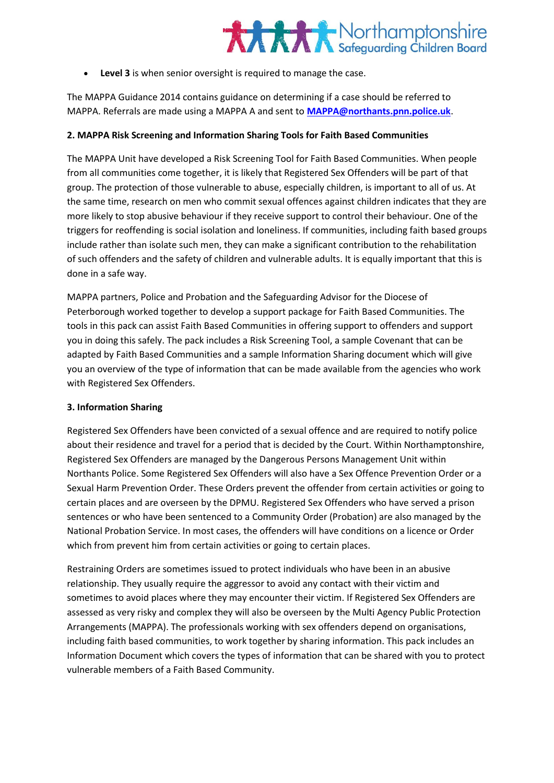

**Level 3** is when senior oversight is required to manage the case.

The MAPPA Guidance 2014 contains guidance on determining if a case should be referred to MAPPA. Referrals are made using a MAPPA A and sent to **[MAPPA@northants.pnn.police.uk](mailto:MAPPA@northants.pnn.police.uk)**.

## **2. MAPPA Risk Screening and Information Sharing Tools for Faith Based Communities**

The MAPPA Unit have developed a Risk Screening Tool for Faith Based Communities. When people from all communities come together, it is likely that Registered Sex Offenders will be part of that group. The protection of those vulnerable to abuse, especially children, is important to all of us. At the same time, research on men who commit sexual offences against children indicates that they are more likely to stop abusive behaviour if they receive support to control their behaviour. One of the triggers for reoffending is social isolation and loneliness. If communities, including faith based groups include rather than isolate such men, they can make a significant contribution to the rehabilitation of such offenders and the safety of children and vulnerable adults. It is equally important that this is done in a safe way.

MAPPA partners, Police and Probation and the Safeguarding Advisor for the Diocese of Peterborough worked together to develop a support package for Faith Based Communities. The tools in this pack can assist Faith Based Communities in offering support to offenders and support you in doing this safely. The pack includes a Risk Screening Tool, a sample Covenant that can be adapted by Faith Based Communities and a sample Information Sharing document which will give you an overview of the type of information that can be made available from the agencies who work with Registered Sex Offenders.

#### **3. Information Sharing**

Registered Sex Offenders have been convicted of a sexual offence and are required to notify police about their residence and travel for a period that is decided by the Court. Within Northamptonshire, Registered Sex Offenders are managed by the Dangerous Persons Management Unit within Northants Police. Some Registered Sex Offenders will also have a Sex Offence Prevention Order or a Sexual Harm Prevention Order. These Orders prevent the offender from certain activities or going to certain places and are overseen by the DPMU. Registered Sex Offenders who have served a prison sentences or who have been sentenced to a Community Order (Probation) are also managed by the National Probation Service. In most cases, the offenders will have conditions on a licence or Order which from prevent him from certain activities or going to certain places.

Restraining Orders are sometimes issued to protect individuals who have been in an abusive relationship. They usually require the aggressor to avoid any contact with their victim and sometimes to avoid places where they may encounter their victim. If Registered Sex Offenders are assessed as very risky and complex they will also be overseen by the Multi Agency Public Protection Arrangements (MAPPA). The professionals working with sex offenders depend on organisations, including faith based communities, to work together by sharing information. This pack includes an Information Document which covers the types of information that can be shared with you to protect vulnerable members of a Faith Based Community.